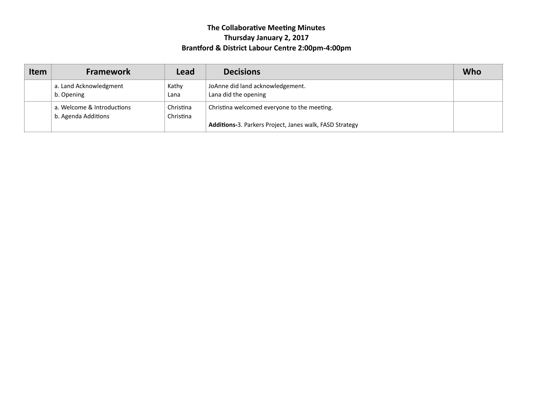# **The Collaborative Meeting Minutes Thursday January 2, 2017**  Brantford & District Labour Centre 2:00pm-4:00pm

| Item | <b>Framework</b>                                  | Lead                   | <b>Decisions</b>                                                                                       | Who |
|------|---------------------------------------------------|------------------------|--------------------------------------------------------------------------------------------------------|-----|
|      | a. Land Acknowledgment<br>b. Opening              | Kathy<br>Lana          | JoAnne did land acknowledgement.<br>Lana did the opening                                               |     |
|      | a. Welcome & Introductions<br>b. Agenda Additions | Christina<br>Christina | Christina welcomed everyone to the meeting.<br>Additions-3. Parkers Project, Janes walk, FASD Strategy |     |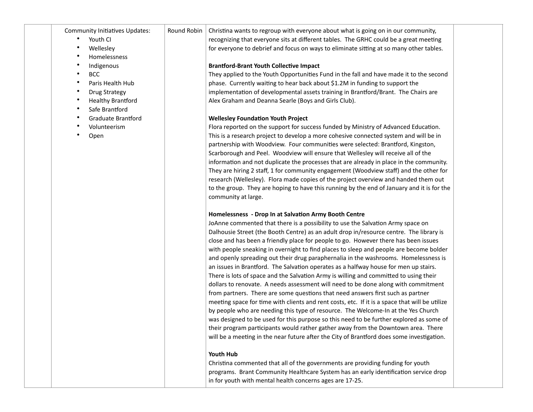Community Initiatives Updates:

- Youth CI
- Wellesley
- Homelessness
- Indigenous
- BCC
- Paris Health Hub
- Drug Strategy
- **Healthy Brantford**
- Safe Brantford
- Graduate Brantford
- Volunteerism
- Open

Round Robin Christina wants to regroup with everyone about what is going on in our community, recognizing that everyone sits at different tables. The GRHC could be a great meeting for everyone to debrief and focus on ways to eliminate sitting at so many other tables.

## **Brantford-Brant Youth Collective Impact**

They applied to the Youth Opportunities Fund in the fall and have made it to the second phase. Currently waiting to hear back about \$1.2M in funding to support the implementation of developmental assets training in Brantford/Brant. The Chairs are Alex Graham and Deanna Searle (Boys and Girls Club).

# **Wellesley Foundation Youth Project**

Flora reported on the support for success funded by Ministry of Advanced Education. This is a research project to develop a more cohesive connected system and will be in partnership with Woodview. Four communities were selected: Brantford, Kingston, Scarborough and Peel. Woodview will ensure that Wellesley will receive all of the information and not duplicate the processes that are already in place in the community. They are hiring 2 staff, 1 for community engagement (Woodview staff) and the other for research (Wellesley). Flora made copies of the project overview and handed them out to the group. They are hoping to have this running by the end of January and it is for the community at large.

#### **Homelessness - Drop In at Salvation Army Booth Centre**

JoAnne commented that there is a possibility to use the Salvation Army space on Dalhousie Street (the Booth Centre) as an adult drop in/resource centre. The library is close and has been a friendly place for people to go. However there has been issues with people sneaking in overnight to find places to sleep and people are become bolder and openly spreading out their drug paraphernalia in the washrooms. Homelessness is an issues in Brantford. The Salvation operates as a halfway house for men up stairs. There is lots of space and the Salvation Army is willing and committed to using their dollars to renovate. A needs assessment will need to be done along with commitment from partners. There are some questions that need answers first such as partner meeting space for time with clients and rent costs, etc. If it is a space that will be utilize by people who are needing this type of resource. The Welcome-In at the Yes Church was designed to be used for this purpose so this need to be further explored as some of their program participants would rather gather away from the Downtown area. There will be a meeting in the near future after the City of Brantford does some investigation.

### **Youth Hub**

Christina commented that all of the governments are providing funding for youth programs. Brant Community Healthcare System has an early identification service drop in for youth with mental health concerns ages are 17-25.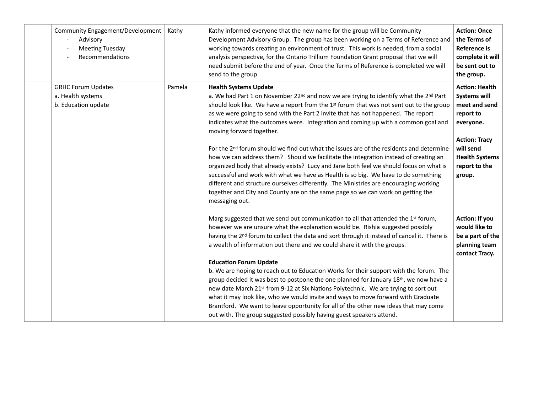| Community Engagement/Development<br>Advisory<br><b>Meeting Tuesday</b><br>Recommendations | Kathy  | Kathy informed everyone that the new name for the group will be Community<br>Development Advisory Group. The group has been working on a Terms of Reference and<br>working towards creating an environment of trust. This work is needed, from a social<br>analysis perspective, for the Ontario Trillium Foundation Grant proposal that we will<br>need submit before the end of year. Once the Terms of Reference is completed we will<br>send to the group.                                                                                                                                                                                                                                                                                                                                                                                                                                                                                                                                                                | <b>Action: Once</b><br>the Terms of<br><b>Reference is</b><br>complete it will<br>be sent out to<br>the group.                                                                   |
|-------------------------------------------------------------------------------------------|--------|-------------------------------------------------------------------------------------------------------------------------------------------------------------------------------------------------------------------------------------------------------------------------------------------------------------------------------------------------------------------------------------------------------------------------------------------------------------------------------------------------------------------------------------------------------------------------------------------------------------------------------------------------------------------------------------------------------------------------------------------------------------------------------------------------------------------------------------------------------------------------------------------------------------------------------------------------------------------------------------------------------------------------------|----------------------------------------------------------------------------------------------------------------------------------------------------------------------------------|
| <b>GRHC Forum Updates</b><br>a. Health systems<br>b. Education update                     | Pamela | <b>Health Systems Update</b><br>a. We had Part 1 on November 22 <sup>nd</sup> and now we are trying to identify what the 2 <sup>nd</sup> Part<br>should look like. We have a report from the 1st forum that was not sent out to the group<br>as we were going to send with the Part 2 invite that has not happened. The report<br>indicates what the outcomes were. Integration and coming up with a common goal and<br>moving forward together.<br>For the 2 <sup>nd</sup> forum should we find out what the issues are of the residents and determine<br>how we can address them? Should we facilitate the integration instead of creating an<br>organized body that already exists? Lucy and Jane both feel we should focus on what is<br>successful and work with what we have as Health is so big. We have to do something<br>different and structure ourselves differently. The Ministries are encouraging working<br>together and City and County are on the same page so we can work on getting the<br>messaging out. | <b>Action: Health</b><br><b>Systems will</b><br>meet and send<br>report to<br>everyone.<br><b>Action: Tracy</b><br>will send<br><b>Health Systems</b><br>report to the<br>group. |
|                                                                                           |        | Marg suggested that we send out communication to all that attended the 1st forum,<br>however we are unsure what the explanation would be. Rishia suggested possibly<br>having the 2 <sup>nd</sup> forum to collect the data and sort through it instead of cancel it. There is<br>a wealth of information out there and we could share it with the groups.<br><b>Education Forum Update</b><br>b. We are hoping to reach out to Education Works for their support with the forum. The<br>group decided it was best to postpone the one planned for January 18th, we now have a<br>new date March 21 <sup>st</sup> from 9-12 at Six Nations Polytechnic. We are trying to sort out<br>what it may look like, who we would invite and ways to move forward with Graduate<br>Brantford. We want to leave opportunity for all of the other new ideas that may come<br>out with. The group suggested possibly having guest speakers attend.                                                                                        | Action: If you<br>would like to<br>be a part of the<br>planning team<br>contact Tracy.                                                                                           |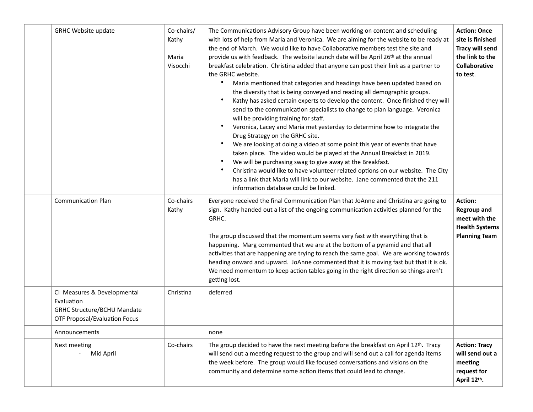| <b>GRHC Website update</b>                                                                                              | Co-chairs/<br>Kathy<br>Maria<br>Visocchi | The Communications Advisory Group have been working on content and scheduling<br>with lots of help from Maria and Veronica. We are aiming for the website to be ready at<br>the end of March. We would like to have Collaborative members test the site and<br>provide us with feedback. The website launch date will be April 26th at the annual<br>breakfast celebration. Christina added that anyone can post their link as a partner to<br>the GRHC website.<br>Maria mentioned that categories and headings have been updated based on<br>the diversity that is being conveyed and reading all demographic groups.<br>Kathy has asked certain experts to develop the content. Once finished they will<br>send to the communication specialists to change to plan language. Veronica<br>will be providing training for staff.<br>Veronica, Lacey and Maria met yesterday to determine how to integrate the<br>Drug Strategy on the GRHC site.<br>We are looking at doing a video at some point this year of events that have<br>taken place. The video would be played at the Annual Breakfast in 2019.<br>We will be purchasing swag to give away at the Breakfast.<br>Christina would like to have volunteer related options on our website. The City<br>has a link that Maria will link to our website. Jane commented that the 211<br>information database could be linked. | <b>Action: Once</b><br>site is finished<br><b>Tracy will send</b><br>the link to the<br>Collaborative<br>to test. |
|-------------------------------------------------------------------------------------------------------------------------|------------------------------------------|-------------------------------------------------------------------------------------------------------------------------------------------------------------------------------------------------------------------------------------------------------------------------------------------------------------------------------------------------------------------------------------------------------------------------------------------------------------------------------------------------------------------------------------------------------------------------------------------------------------------------------------------------------------------------------------------------------------------------------------------------------------------------------------------------------------------------------------------------------------------------------------------------------------------------------------------------------------------------------------------------------------------------------------------------------------------------------------------------------------------------------------------------------------------------------------------------------------------------------------------------------------------------------------------------------------------------------------------------------------------------------------|-------------------------------------------------------------------------------------------------------------------|
| <b>Communication Plan</b>                                                                                               | Co-chairs<br>Kathy                       | Everyone received the final Communication Plan that JoAnne and Christina are going to<br>sign. Kathy handed out a list of the ongoing communication activities planned for the<br>GRHC.<br>The group discussed that the momentum seems very fast with everything that is<br>happening. Marg commented that we are at the bottom of a pyramid and that all<br>activities that are happening are trying to reach the same goal. We are working towards<br>heading onward and upward. JoAnne commented that it is moving fast but that it is ok.<br>We need momentum to keep action tables going in the right direction so things aren't<br>getting lost.                                                                                                                                                                                                                                                                                                                                                                                                                                                                                                                                                                                                                                                                                                                              | Action:<br><b>Regroup and</b><br>meet with the<br><b>Health Systems</b><br><b>Planning Team</b>                   |
| CI Measures & Developmental<br>Evaluation<br><b>GRHC Structure/BCHU Mandate</b><br><b>OTF Proposal/Evaluation Focus</b> | Christina                                | deferred                                                                                                                                                                                                                                                                                                                                                                                                                                                                                                                                                                                                                                                                                                                                                                                                                                                                                                                                                                                                                                                                                                                                                                                                                                                                                                                                                                            |                                                                                                                   |
| Announcements                                                                                                           |                                          | none                                                                                                                                                                                                                                                                                                                                                                                                                                                                                                                                                                                                                                                                                                                                                                                                                                                                                                                                                                                                                                                                                                                                                                                                                                                                                                                                                                                |                                                                                                                   |
| Next meeting<br>Mid April                                                                                               | Co-chairs                                | The group decided to have the next meeting before the breakfast on April 12th. Tracy<br>will send out a meeting request to the group and will send out a call for agenda items<br>the week before. The group would like focused conversations and visions on the<br>community and determine some action items that could lead to change.                                                                                                                                                                                                                                                                                                                                                                                                                                                                                                                                                                                                                                                                                                                                                                                                                                                                                                                                                                                                                                            | <b>Action: Tracy</b><br>will send out a<br>meeting<br>request for<br>April 12th.                                  |